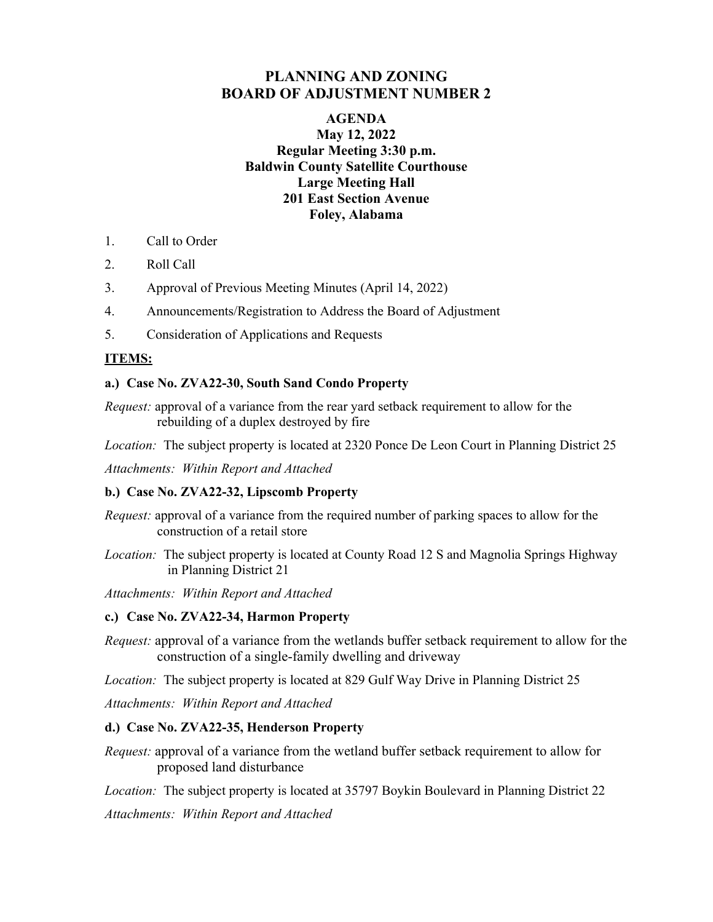# **PLANNING AND ZONING BOARD OF ADJUSTMENT NUMBER 2**

## **AGENDA May 12, 2022 Regular Meeting 3:30 p.m. Baldwin County Satellite Courthouse Large Meeting Hall 201 East Section Avenue Foley, Alabama**

- 1. Call to Order
- 2. Roll Call
- 3. Approval of Previous Meeting Minutes (April 14, 2022)
- 4. Announcements/Registration to Address the Board of Adjustment
- 5. Consideration of Applications and Requests

# **ITEMS:**

### **a.) Case No. ZVA22-30, South Sand Condo Property**

*Request:* approval of a variance from the rear yard setback requirement to allow for the rebuilding of a duplex destroyed by fire

*Location:* The subject property is located at 2320 Ponce De Leon Court in Planning District 25

*Attachments: Within Report and Attached* 

### **b.) Case No. ZVA22-32, Lipscomb Property**

*Request:* approval of a variance from the required number of parking spaces to allow for the construction of a retail store

*Location:* The subject property is located at County Road 12 S and Magnolia Springs Highway in Planning District 21

*Attachments: Within Report and Attached* 

### **c.) Case No. ZVA22-34, Harmon Property**

*Request:* approval of a variance from the wetlands buffer setback requirement to allow for the construction of a single-family dwelling and driveway

*Location:* The subject property is located at 829 Gulf Way Drive in Planning District 25

*Attachments: Within Report and Attached* 

### **d.) Case No. ZVA22-35, Henderson Property**

*Request:* approval of a variance from the wetland buffer setback requirement to allow for proposed land disturbance

*Location:* The subject property is located at 35797 Boykin Boulevard in Planning District 22 *Attachments: Within Report and Attached*